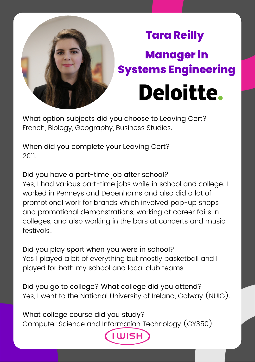

## **Tara Reilly Manager in Systems EngineeringDeloitte.**

What option subjects did you choose to Leaving Cert? French, Biology, Geography, Business Studies.

When did you complete your Leaving Cert? 2011.

Did you have a part-time job after school? Yes, I had various part-time jobs while in school and college. I worked in Penneys and Debenhams and also did a lot of promotional work for brands which involved pop-up shops and promotional demonstrations, working at career fairs in colleges, and also working in the bars at concerts and music festivals!

Did you play sport when you were in school? Yes I played a bit of everything but mostly basketball and I played for both my school and local club teams

Did you go to college? What college did you attend? Yes, I went to the National University of Ireland, Galway (NUIG).

What college course did you study? Computer Science and Information Technology (GY350)